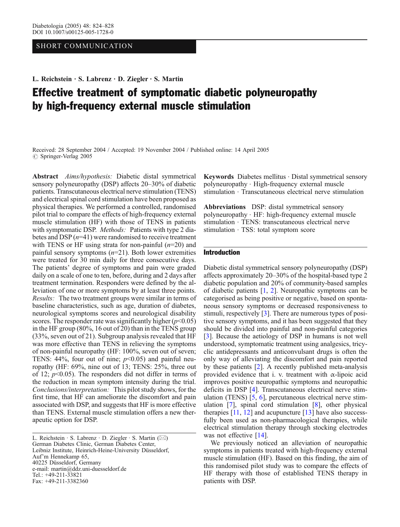## SHORT COMMUNICATION

L. Reichstein . S. Labrenz . D. Ziegler . S. Martin

# Effective treatment of symptomatic diabetic polyneuropathy by high-frequency external muscle stimulation

Received: 28 September 2004 / Accepted: 19 November 2004 / Published online: 14 April 2005  $\circ$  Springer-Verlag 2005

Abstract Aims/hypothesis: Diabetic distal symmetrical sensory polyneuropathy (DSP) affects 20–30% of diabetic patients. Transcutaneous electrical nerve stimulation (TENS) and electrical spinal cord stimulation have been proposed as physical therapies. We performed a controlled, randomised pilot trial to compare the effects of high-frequency external muscle stimulation (HF) with those of TENS in patients with symptomatic DSP. *Methods*: Patients with type 2 diabetes and DSP  $(n=41)$  were randomised to receive treatment with TENS or HF using strata for non-painful  $(n=20)$  and painful sensory symptoms  $(n=21)$ . Both lower extremities were treated for 30 min daily for three consecutive days. The patients' degree of symptoms and pain were graded daily on a scale of one to ten, before, during and 2 days after treatment termination. Responders were defined by the alleviation of one or more symptoms by at least three points. Results: The two treatment groups were similar in terms of baseline characteristics, such as age, duration of diabetes, neurological symptoms scores and neurological disability scores. The responder rate was significantly higher  $(p<0.05)$ in the HF group (80%, 16 out of 20) than in the TENS group (33%, seven out of 21). Subgroup analysis revealed that HF was more effective than TENS in relieving the symptoms of non-painful neuropathy (HF: 100%, seven out of seven; TENS: 44%, four out of nine;  $p<0.05$ ) and painful neuropathy (HF: 69%, nine out of 13; TENS: 25%, three out of 12;  $p<0.05$ ). The responders did not differ in terms of the reduction in mean symptom intensity during the trial. Conclusions/interpretation: This pilot study shows, for the first time, that HF can ameliorate the discomfort and pain associated with DSP, and suggests that HF is more effective than TENS. External muscle stimulation offers a new therapeutic option for DSP.

L. Reichstein . S. Labrenz . D. Ziegler . S. Martin (*\**) German Diabetes Clinic, German Diabetes Center, Leibniz Institute, Heinrich-Heine-University Düsseldorf, Auf*'*m Hennekamp 65, 40225 Düsseldorf, Germany e-mail: martin@ddz.uni-duesseldorf.de Tel.: +49-211-33821 Fax: +49-211-3382360

Keywords Diabetes mellitus · Distal symmetrical sensory polyneuropathy . High-frequency external muscle stimulation . Transcutaneous electrical nerve stimulation

Abbreviations DSP: distal symmetrical sensory polyneuropathy . HF: high-frequency external muscle stimulation . TENS: transcutaneous electrical nerve stimulation · TSS: total symptom score

## Introduction

Diabetic distal symmetrical sensory polyneuropathy (DSP) affects approximately 20–30% of the hospital-based type 2 diabetic population and 20% of community-based samples of diabetic patients [\[1,](#page-3-0) [2](#page-4-0)]. Neuropathic symptoms can be categorised as being positive or negative, based on spontaneous sensory symptoms or decreased responsiveness to stimuli, respectively [[3\]](#page-4-0). There are numerous types of positive sensory symptoms, and it has been suggested that they should be divided into painful and non-painful categories [[3\]](#page-4-0). Because the aetiology of DSP in humans is not well understood, symptomatic treatment using analgesics, tricyclic antidepressants and anticonvulsant drugs is often the only way of alleviating the discomfort and pain reported by these patients [\[2](#page-4-0)]. A recently published meta-analysis provided evidence that i. v. treatment with  $\alpha$ -lipoic acid improves positive neuropathic symptoms and neuropathic deficits in DSP [[4](#page-4-0)]. Transcutaneous electrical nerve stimulation (TENS) [[5](#page-4-0), [6](#page-4-0)], percutaneous electrical nerve stimulation [\[7](#page-4-0)], spinal cord stimulation [[8\]](#page-4-0), other physical therapies  $[11, 12]$  $[11, 12]$  $[11, 12]$  $[11, 12]$  and acupuncture  $[13]$  $[13]$  $[13]$  have also successfully been used as non-pharmacological therapies, while electrical stimulation therapy through stocking electrodes was not effective [\[14\]](#page-4-0).

We previously noticed an alleviation of neuropathic symptoms in patients treated with high-frequency external muscle stimulation (HF). Based on this finding, the aim of this randomised pilot study was to compare the effects of HF therapy with those of established TENS therapy in patients with DSP.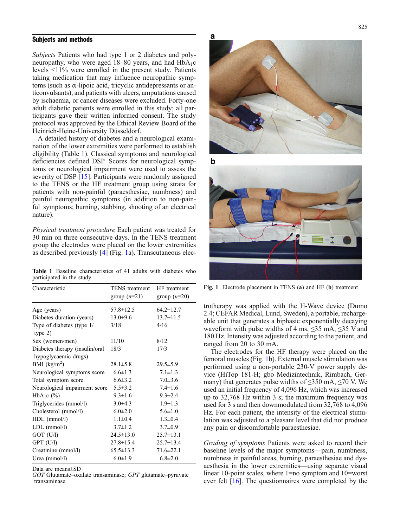### <span id="page-1-0"></span>Subjects and methods

Subjects Patients who had type 1 or 2 diabetes and polyneuropathy, who were aged  $18-80$  years, and had  $HbA_1c$ levels <11% were enrolled in the present study. Patients taking medication that may influence neuropathic symptoms (such as α-lipoic acid, tricyclic antidepressants or anticonvulsants), and patients with ulcers, amputations caused by ischaemia, or cancer diseases were excluded. Forty-one adult diabetic patients were enrolled in this study; all participants gave their written informed consent. The study protocol was approved by the Ethical Review Board of the Heinrich-Heine-University Düsseldorf.

A detailed history of diabetes and a neurological examination of the lower extremities were performed to establish eligibility (Table 1). Classical symptoms and neurological deficiencies defined DSP. Scores for neurological symptoms or neurological impairment were used to assess the severity of DSP [\[15\]](#page-4-0). Participants were randomly assigned to the TENS or the HF treatment group using strata for patients with non-painful (paraesthesiae, numbness) and painful neuropathic symptoms (in addition to non-painful symptoms; burning, stabbing, shooting of an electrical nature).

Physical treatment procedure Each patient was treated for 30 min on three consecutive days. In the TENS treatment group the electrodes were placed on the lower extremities as described previously [[4](#page-4-0)] (Fig. 1a). Transcutaneous elec-

Table 1 Baseline characteristics of 41 adults with diabetes who participated in the study

| Characteristic                                         | TENS treatment<br>group $(n=21)$ | HF treatment<br>group $(n=20)$ |
|--------------------------------------------------------|----------------------------------|--------------------------------|
| Age (years)                                            | 57.8±12.5                        | $64.2 \pm 12.7$                |
| Diabetes duration (years)                              | $13.0 \pm 9.6$                   | $13.7 \pm 11.5$                |
| Type of diabetes (type 1/<br>type 2)                   | 3/18                             | 4/16                           |
| Sex (women/men)                                        | 11/10                            | 8/12                           |
| Diabetes therapy (insulin/oral<br>hypoglycaemic drugs) | 18/3                             | 17/3                           |
| BMI $(kg/m2)$                                          | $28.1 \pm 5.8$                   | $29.5 \pm 5.9$                 |
| Neurological symptoms score                            | $6.6 \pm 1.3$                    | $7.1 \pm 1.3$                  |
| Total symptom score                                    | $6.6 \pm 3.2$                    | $7.0 \pm 3.6$                  |
| Neurological impairment score                          | $5.5 \pm 3.2$                    | $7.4 \pm 1.6$                  |
| HbA <sub>1</sub> c $(\% )$                             | $9.3 \pm 1.6$                    | $9.3 \pm 2.4$                  |
| Triglycerides (mmol/l)                                 | $3.0\pm4.3$                      | $1.9 \pm 1.3$                  |
| Cholesterol (mmol/l)                                   | $6.0 \pm 2.0$                    | $5.6 \pm 1.0$                  |
| $HDL$ (mmol/l)                                         | $1.1 \pm 0.4$                    | $1.3 \pm 0.4$                  |
| $LDL$ (mmol/l)                                         | $3.7 \pm 1.2$                    | $3.7 \pm 0.9$                  |
| GOT (U/l)                                              | $24.5 \pm 13.0$                  | $25.7 \pm 13.1$                |
| $GPT$ $(U/1)$                                          | $27.8 \pm 15.4$                  | $25.7 \pm 13.4$                |
| Creatinine (mmol/l)                                    | $65.5 \pm 13.3$                  | $71.6 \pm 22.1$                |
| Urea $(mmol/l)$                                        | $6.0 \pm 1.9$                    | $6.8 \pm 2.0$                  |

Data are means±SD

GOT Glutamate–oxalate transaminase; GPT glutamate–pyruvate transaminase



b



Fig. 1 Electrode placement in TENS (a) and HF (b) treatment

trotherapy was applied with the H-Wave device (Dumo 2.4; CEFAR Medical, Lund, Sweden), a portable, rechargeable unit that generates a biphasic exponentially decaying waveform with pulse widths of 4 ms,  $\leq 35$  mA,  $\leq 35$  V and 180 Hz. Intensity was adjusted according to the patient, and ranged from 20 to 30 mA.

The electrodes for the HF therapy were placed on the femoral muscles (Fig. 1b). External muscle stimulation was performed using a non-portable 230-V power supply device (HiTop 181-H; gbo Medizintechnik, Rimbach, Germany) that generates pulse widths of  $\leq$ 350 mA,  $\leq$ 70 V. We used an initial frequency of 4,096 Hz, which was increased up to 32,768 Hz within 3 s; the maximum frequency was used for 3 s and then downmodulated from 32,768 to 4,096 Hz. For each patient, the intensity of the electrical stimulation was adjusted to a pleasant level that did not produce any pain or discomfortable paraesthesiae.

Grading of symptoms Patients were asked to record their baseline levels of the major symptoms—pain, numbness, numbness in painful areas, burning, paraesthesiae and dysaesthesia in the lower extremities—using separate visual linear 10-point scales, where 1=no symptom and 10=worst ever felt [[16](#page-4-0)]. The questionnaires were completed by the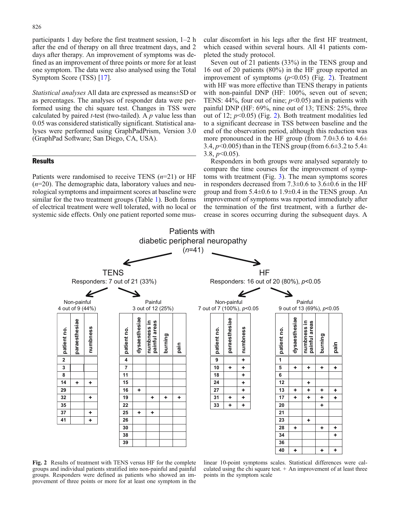participants 1 day before the first treatment session, 1–2 h after the end of therapy on all three treatment days, and 2 days after therapy. An improvement of symptoms was defined as an improvement of three points or more for at least one symptom. The data were also analysed using the Total Symptom Score (TSS) [[17](#page-4-0)].

Statistical analyses All data are expressed as means±SD or as percentages. The analyses of responder data were performed using the chi square test. Changes in TSS were calculated by paired *t*-test (two-tailed). A  $p$  value less than 0.05 was considered statistically significant. Statistical analyses were performed using GraphPadPrism, Version 3.0 (GraphPad Software; San Diego, CA, USA).

## **Results**

Patients were randomised to receive TENS  $(n=21)$  or HF  $(n=20)$ . The demographic data, laboratory values and neurological symptoms and impairment scores at baseline were similar for the two treatment groups (Table [1\)](#page-1-0). Both forms of electrical treatment were well tolerated, with no local or systemic side effects. Only one patient reported some mus-

cular discomfort in his legs after the first HF treatment, which ceased within several hours. All 41 patients completed the study protocol.

Seven out of 21 patients (33%) in the TENS group and 16 out of 20 patients (80%) in the HF group reported an improvement of symptoms  $(p<0.05)$  (Fig. 2). Treatment with HF was more effective than TENS therapy in patients with non-painful DNP (HF: 100%, seven out of seven; TENS: 44%, four out of nine;  $p<0.05$ ) and in patients with painful DNP (HF: 69%, nine out of 13; TENS: 25%, three out of 12;  $p<0.05$ ) (Fig. 2). Both treatment modalities led to a significant decrease in TSS between baseline and the end of the observation period, although this reduction was more pronounced in the HF group (from  $7.0\pm3.6$  to  $4.6\pm$ 3.4,  $p$ <0.005) than in the TENS group (from 6.6 $\pm$ 3.2 to 5.4 $\pm$ 3.8,  $p<0.05$ ).

Responders in both groups were analysed separately to compare the time courses for the improvement of symptoms with treatment (Fig. [3\)](#page-3-0). The mean symptoms scores in responders decreased from 7.3±0.6 to 3.6±0.6 in the HF group and from  $5.4\pm0.6$  to  $1.9\pm0.4$  in the TENS group. An improvement of symptoms was reported immediately after the termination of the first treatment, with a further decrease in scores occurring during the subsequent days. A



Fig. 2 Results of treatment with TENS versus HF for the complete groups and individual patients stratified into non-painful and painful groups. Responders were defined as patients who showed an improvement of three points or more for at least one symptom in the

linear 10-point symptoms scales. Statistical differences were calculated using the chi square test.  $+$  An improvement of at least three points in the symptom scale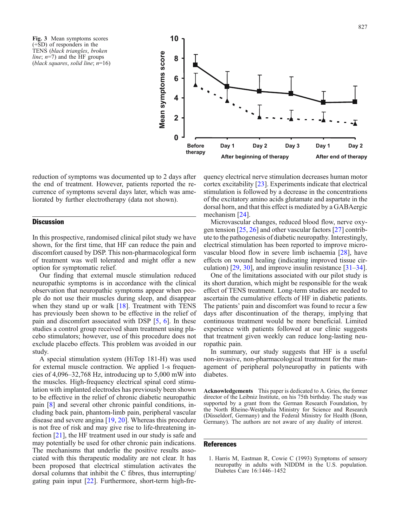<span id="page-3-0"></span>Fig. 3 Mean symptoms scores (+SD) of responders in the TENS (black triangles, broken *line*;  $n=7$ ) and the HF groups (black squares, solid line;  $n=16$ )



reduction of symptoms was documented up to 2 days after the end of treatment. However, patients reported the recurrence of symptoms several days later, which was ameliorated by further electrotherapy (data not shown).

## **Discussion**

In this prospective, randomised clinical pilot study we have shown, for the first time, that HF can reduce the pain and discomfort caused by DSP. This non-pharmacological form of treatment was well tolerated and might offer a new option for symptomatic relief.

Our finding that external muscle stimulation reduced neuropathic symptoms is in accordance with the clinical observation that neuropathic symptoms appear when people do not use their muscles during sleep, and disappear when they stand up or walk [\[18\]](#page-4-0). Treatment with TENS has previously been shown to be effective in the relief of pain and discomfort associated with DSP [[5](#page-4-0), [6\]](#page-4-0). In these studies a control group received sham treatment using placebo stimulators; however, use of this procedure does not exclude placebo effects. This problem was avoided in our study.

A special stimulation system (HiTop 181-H) was used for external muscle contraction. We applied 1-s frequencies of 4,096–32,768 Hz, introducing up to 5,000 mW into the muscles. High-frequency electrical spinal cord stimulation with implanted electrodes has previously been shown to be effective in the relief of chronic diabetic neuropathic pain [\[8\]](#page-4-0) and several other chronic painful conditions, including back pain, phantom-limb pain, peripheral vascular disease and severe angina [\[19,](#page-4-0) [20](#page-4-0)]. Whereas this procedure is not free of risk and may give rise to life-threatening infection [[21](#page-4-0)], the HF treatment used in our study is safe and may potentially be used for other chronic pain indications. The mechanisms that underlie the positive results associated with this therapeutic modality are not clear. It has been proposed that electrical stimulation activates the dorsal columns that inhibit the C fibres, thus interrupting/ gating pain input [\[22\]](#page-4-0). Furthermore, short-term high-frequency electrical nerve stimulation decreases human motor cortex excitability [\[23\]](#page-4-0). Experiments indicate that electrical stimulation is followed by a decrease in the concentrations of the excitatory amino acids glutamate and aspartate in the dorsal horn, and that this effect is mediated by a GABAergic mechanism [[24](#page-4-0)].

Microvascular changes, reduced blood flow, nerve oxygen tension [\[25,](#page-4-0) [26\]](#page-4-0) and other vascular factors [\[27\]](#page-4-0) contribute to the pathogenesis of diabetic neuropathy. Interestingly, electrical stimulation has been reported to improve microvascular blood flow in severe limb ischaemia [[28](#page-4-0)], have effects on wound healing (indicating improved tissue circulation)  $[29, 30]$  $[29, 30]$  $[29, 30]$ , and improve insulin resistance  $[31-34]$  $[31-34]$  $[31-34]$  $[31-34]$ .

One of the limitations associated with our pilot study is its short duration, which might be responsible for the weak effect of TENS treatment. Long-term studies are needed to ascertain the cumulative effects of HF in diabetic patients. The patients' pain and discomfort was found to recur a few days after discontinuation of the therapy, implying that continuous treatment would be more beneficial. Limited experience with patients followed at our clinic suggests that treatment given weekly can reduce long-lasting neuropathic pain.

In summary, our study suggests that HF is a useful non-invasive, non-pharmacological treatment for the management of peripheral polyneuropathy in patients with diabetes.

Acknowledgements This paper is dedicated to A. Gries, the former director of the Leibniz Institute, on his 75th birthday. The study was supported by a grant from the German Research Foundation, by the North Rheine-Westphalia Ministry for Science and Research (Düsseldorf, Germany) and the Federal Ministry for Health (Bonn, Germany). The authors are not aware of any duality of interest.

#### References

1. Harris M, Eastman R, Cowie C (1993) Symptoms of sensory neuropathy in adults with NIDDM in the U.S. population. Diabetes Care 16:1446–1452